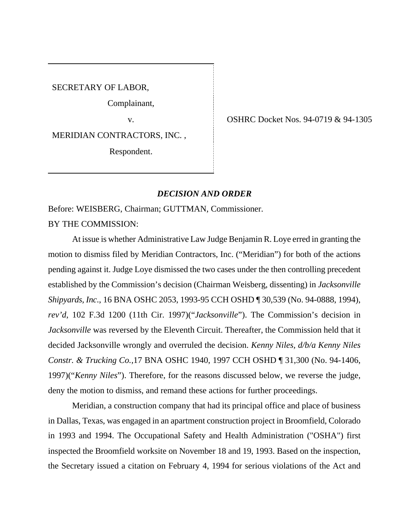SECRETARY OF LABOR,

Complainant,

MERIDIAN CONTRACTORS, INC. ,

Respondent.

v. OSHRC Docket Nos. 94-0719 & 94-1305

## *DECISION AND ORDER*

Before: WEISBERG, Chairman; GUTTMAN, Commissioner.

BY THE COMMISSION:

At issue is whether Administrative Law Judge Benjamin R. Loye erred in granting the motion to dismiss filed by Meridian Contractors, Inc. ("Meridian") for both of the actions pending against it. Judge Loye dismissed the two cases under the then controlling precedent established by the Commission's decision (Chairman Weisberg, dissenting) in *Jacksonville Shipyards, Inc*., 16 BNA OSHC 2053, 1993-95 CCH OSHD ¶ 30,539 (No. 94-0888, 1994), *rev'd*, 102 F.3d 1200 (11th Cir. 1997)("*Jacksonville*"). The Commission's decision in *Jacksonville* was reversed by the Eleventh Circuit. Thereafter, the Commission held that it decided Jacksonville wrongly and overruled the decision. *Kenny Niles, d/b/a Kenny Niles Constr. & Trucking Co.,*17 BNA OSHC 1940, 1997 CCH OSHD ¶ 31,300 (No. 94-1406, 1997)("*Kenny Niles*"). Therefore, for the reasons discussed below, we reverse the judge, deny the motion to dismiss, and remand these actions for further proceedings.

Meridian, a construction company that had its principal office and place of business in Dallas, Texas, was engaged in an apartment construction project in Broomfield, Colorado in 1993 and 1994. The Occupational Safety and Health Administration ("OSHA") first inspected the Broomfield worksite on November 18 and 19, 1993. Based on the inspection, the Secretary issued a citation on February 4, 1994 for serious violations of the Act and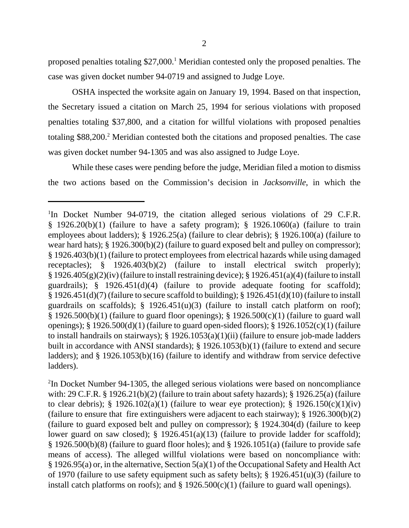OSHA inspected the worksite again on January 19, 1994. Based on that inspection, the Secretary issued a citation on March 25, 1994 for serious violations with proposed penalties totaling \$37,800, and a citation for willful violations with proposed penalties totaling \$88,200.<sup>2</sup> Meridian contested both the citations and proposed penalties. The case was given docket number 94-1305 and was also assigned to Judge Loye.

While these cases were pending before the judge, Meridian filed a motion to dismiss the two actions based on the Commission's decision in *Jacksonville*, in which the

 $2$ In Docket Number 94-1305, the alleged serious violations were based on noncompliance with: 29 C.F.R. § 1926.21(b)(2) (failure to train about safety hazards); § 1926.25(a) (failure to clear debris); § 1926.102(a)(1) (failure to wear eye protection); § 1926.150(c)(1)(iv) (failure to ensure that fire extinguishers were adjacent to each stairway); § 1926.300(b)(2) (failure to guard exposed belt and pulley on compressor); § 1924.304(d) (failure to keep lower guard on saw closed); § 1926.451(a)(13) (failure to provide ladder for scaffold); § 1926.500(b)(8) (failure to guard floor holes); and § 1926.1051(a) (failure to provide safe means of access). The alleged willful violations were based on noncompliance with: § 1926.95(a) or, in the alternative, Section 5(a)(1) of the Occupational Safety and Health Act of 1970 (failure to use safety equipment such as safety belts); § 1926.451(u)(3) (failure to install catch platforms on roofs); and  $\S$  1926.500(c)(1) (failure to guard wall openings).

<sup>&</sup>lt;sup>1</sup>In Docket Number 94-0719, the citation alleged serious violations of 29 C.F.R.  $§$  1926.20(b)(1) (failure to have a safety program); § 1926.1060(a) (failure to train employees about ladders); § 1926.25(a) (failure to clear debris); § 1926.100(a) (failure to wear hard hats); § 1926.300(b)(2) (failure to guard exposed belt and pulley on compressor); § 1926.403(b)(1) (failure to protect employees from electrical hazards while using damaged receptacles); § 1926.403(b)(2) (failure to install electrical switch properly);  $\S 1926.405(g)(2)(iv)$  (failure to install restraining device);  $\S 1926.451(a)(4)$  (failure to install guardrails); § 1926.451(d)(4) (failure to provide adequate footing for scaffold);  $\S$  1926.451(d)(7) (failure to secure scaffold to building);  $\S$  1926.451(d)(10) (failure to install guardrails on scaffolds);  $\S$  1926.451(u)(3) (failure to install catch platform on roof);  $§$  1926.500(b)(1) (failure to guard floor openings); § 1926.500(c)(1) (failure to guard wall openings); § 1926.500(d)(1) (failure to guard open-sided floors); § 1926.1052(c)(1) (failure to install handrails on stairways); § 1926.1053(a)(1)(ii) (failure to ensure job-made ladders built in accordance with ANSI standards); § 1926.1053(b)(1) (failure to extend and secure ladders); and § 1926.1053(b)(16) (failure to identify and withdraw from service defective ladders).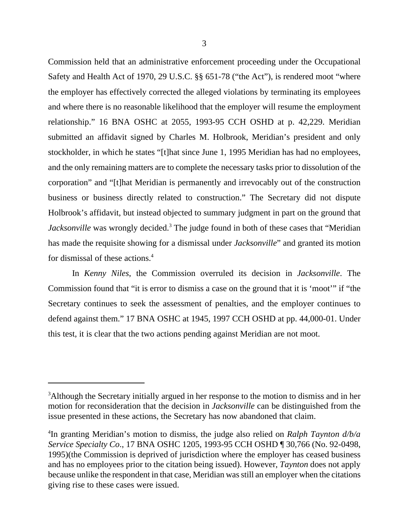Commission held that an administrative enforcement proceeding under the Occupational Safety and Health Act of 1970, 29 U.S.C. §§ 651-78 ("the Act"), is rendered moot "where the employer has effectively corrected the alleged violations by terminating its employees and where there is no reasonable likelihood that the employer will resume the employment relationship." 16 BNA OSHC at 2055, 1993-95 CCH OSHD at p. 42,229. Meridian submitted an affidavit signed by Charles M. Holbrook, Meridian's president and only stockholder, in which he states "[t]hat since June 1, 1995 Meridian has had no employees, and the only remaining matters are to complete the necessary tasks prior to dissolution of the corporation" and "[t]hat Meridian is permanently and irrevocably out of the construction business or business directly related to construction." The Secretary did not dispute Holbrook's affidavit, but instead objected to summary judgment in part on the ground that Jacksonville was wrongly decided.<sup>3</sup> The judge found in both of these cases that "Meridian has made the requisite showing for a dismissal under *Jacksonville*" and granted its motion for dismissal of these actions.<sup>4</sup>

In *Kenny Niles*, the Commission overruled its decision in *Jacksonville*. The Commission found that "it is error to dismiss a case on the ground that it is 'moot'" if "the Secretary continues to seek the assessment of penalties, and the employer continues to defend against them." 17 BNA OSHC at 1945, 1997 CCH OSHD at pp. 44,000-01. Under this test, it is clear that the two actions pending against Meridian are not moot.

<sup>&</sup>lt;sup>3</sup>Although the Secretary initially argued in her response to the motion to dismiss and in her motion for reconsideration that the decision in *Jacksonville* can be distinguished from the issue presented in these actions, the Secretary has now abandoned that claim.

<sup>4</sup> In granting Meridian's motion to dismiss, the judge also relied on *Ralph Taynton d/b/a Service Specialty Co*., 17 BNA OSHC 1205, 1993-95 CCH OSHD ¶ 30,766 (No. 92-0498, 1995)(the Commission is deprived of jurisdiction where the employer has ceased business and has no employees prior to the citation being issued). However, *Taynton* does not apply because unlike the respondent in that case, Meridian was still an employer when the citations giving rise to these cases were issued.